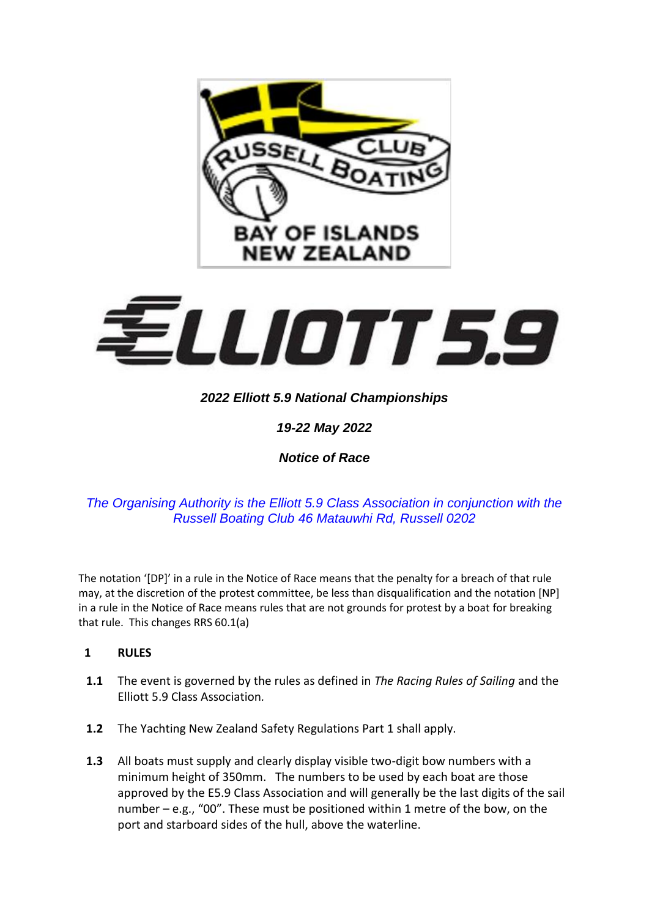



# *2022 Elliott 5.9 National Championships*

*19-22 May 2022*

*Notice of Race*

## *The Organising Authority is the Elliott 5.9 Class Association in conjunction with the Russell Boating Club 46 Matauwhi Rd, Russell 0202*

The notation '[DP]' in a rule in the Notice of Race means that the penalty for a breach of that rule may, at the discretion of the protest committee, be less than disqualification and the notation [NP] in a rule in the Notice of Race means rules that are not grounds for protest by a boat for breaking that rule. This changes RRS 60.1(a)

## **1 RULES**

- **1.1** The event is governed by the rules as defined in *The Racing Rules of Sailing* and the Elliott 5.9 Class Association*.*
- **1.2** The Yachting New Zealand Safety Regulations Part 1 shall apply.
- **1.3** All boats must supply and clearly display visible two-digit bow numbers with a minimum height of 350mm. The numbers to be used by each boat are those approved by the E5.9 Class Association and will generally be the last digits of the sail number – e.g., "00". These must be positioned within 1 metre of the bow, on the port and starboard sides of the hull, above the waterline.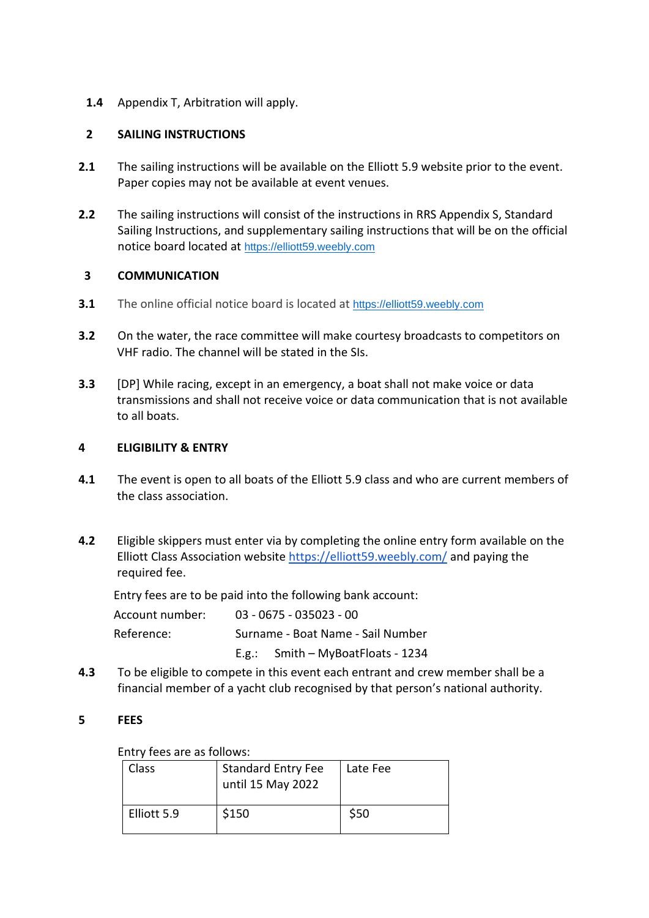## **1.4** Appendix T, Arbitration will apply.

#### **2 SAILING INSTRUCTIONS**

- **2.1** The sailing instructions will be available on the Elliott 5.9 website prior to the event. Paper copies may not be available at event venues.
- **2.2** The sailing instructions will consist of the instructions in RRS Appendix S, Standard Sailing Instructions, and supplementary sailing instructions that will be on the official notice board located at [https://elliott59.weebly.com](https://elliott59.weebly.com/traveller-series.html)

## **3 COMMUNICATION**

- **3.1** The online official notice board is located at [https://elliott59.weebly.com](https://elliott59.weebly.com/traveller-series.html)
- **3.2** On the water, the race committee will make courtesy broadcasts to competitors on VHF radio. The channel will be stated in the SIs.
- **3.3** [DP] While racing, except in an emergency, a boat shall not make voice or data transmissions and shall not receive voice or data communication that is not available to all boats.

## **4 ELIGIBILITY & ENTRY**

- **4.1** The event is open to all boats of the Elliott 5.9 class and who are current members of the class association.
- **4.2** Eligible skippers must enter via by completing the online entry form available on the Elliott Class Association website<https://elliott59.weebly.com/> and paying the required fee.

Entry fees are to be paid into the following bank account:

| Account number: | $03 - 0675 - 035023 - 00$         |                                   |  |
|-----------------|-----------------------------------|-----------------------------------|--|
| Reference:      | Surname - Boat Name - Sail Number |                                   |  |
|                 |                                   | E.g.: Smith - MyBoatFloats - 1234 |  |

**4.3** To be eligible to compete in this event each entrant and crew member shall be a financial member of a yacht club recognised by that person's national authority.

#### **5 FEES**

Entry fees are as follows:

| Class       | <b>Standard Entry Fee</b><br>until 15 May 2022 | Late Fee |  |  |  |  |
|-------------|------------------------------------------------|----------|--|--|--|--|
| Elliott 5.9 | \$150                                          | \$50     |  |  |  |  |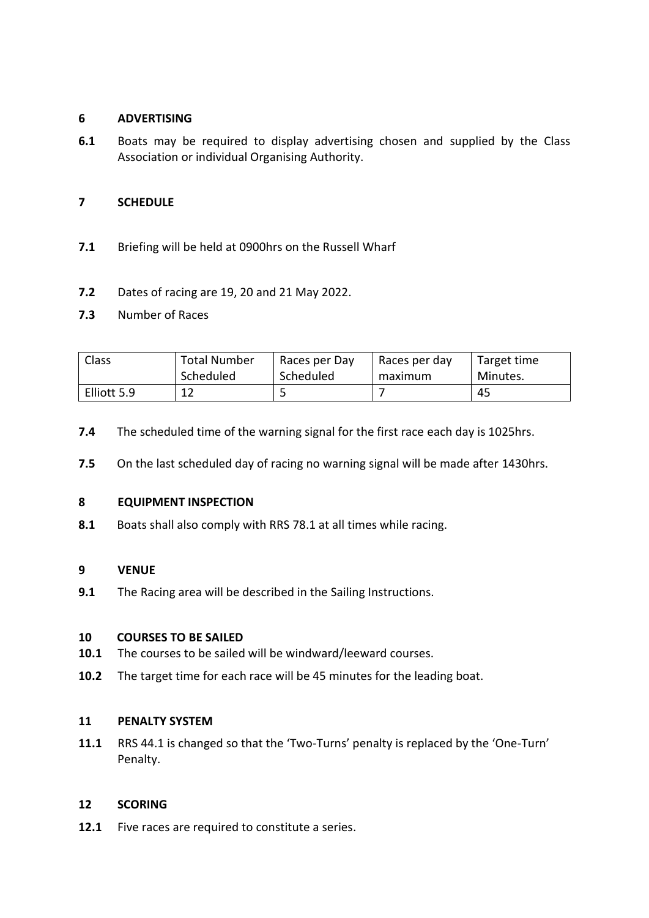#### **6 ADVERTISING**

**6.1** Boats may be required to display advertising chosen and supplied by the Class Association or individual Organising Authority.

## **7 SCHEDULE**

- **7.1** Briefing will be held at 0900hrs on the Russell Wharf
- **7.2** Dates of racing are 19, 20 and 21 May 2022.
- **7.3** Number of Races

| Class       | <b>Total Number</b> | Races per Day | Races per day | Target time |
|-------------|---------------------|---------------|---------------|-------------|
|             | Scheduled           | Scheduled     | maximum       | Minutes.    |
| Elliott 5.9 | 1 ว                 |               |               | 45          |

- **7.4** The scheduled time of the warning signal for the first race each day is 1025hrs.
- **7.5** On the last scheduled day of racing no warning signal will be made after 1430hrs.

#### **8 EQUIPMENT INSPECTION**

**8.1** Boats shall also comply with RRS 78.1 at all times while racing.

#### **9 VENUE**

**9.1** The Racing area will be described in the Sailing Instructions.

#### **10 COURSES TO BE SAILED**

- **10.1** The courses to be sailed will be windward/leeward courses.
- **10.2** The target time for each race will be 45 minutes for the leading boat.

#### **11 PENALTY SYSTEM**

**11.1** RRS 44.1 is changed so that the 'Two-Turns' penalty is replaced by the 'One-Turn' Penalty.

#### **12 SCORING**

**12.1** Five races are required to constitute a series.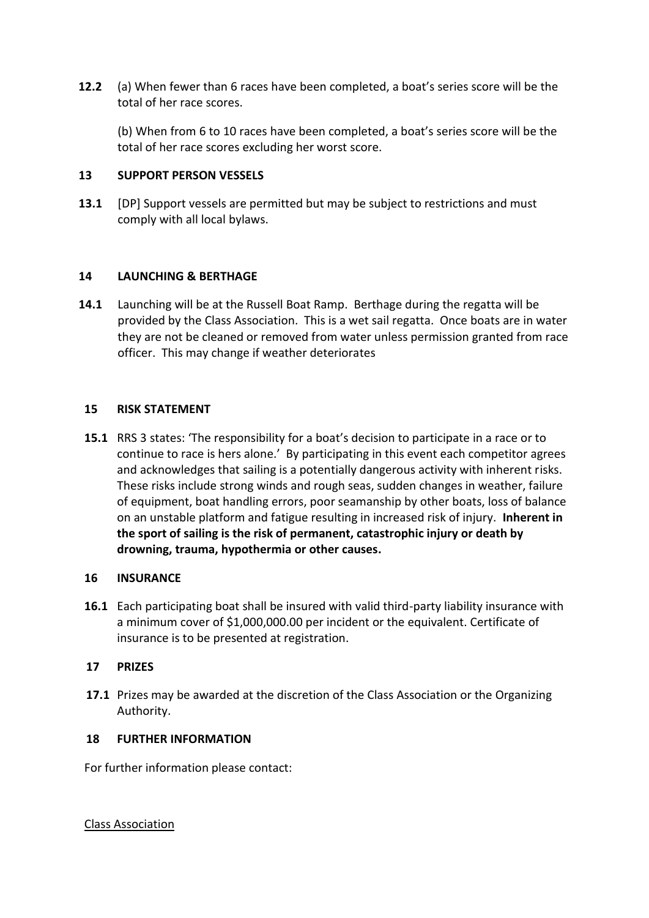**12.2** (a) When fewer than 6 races have been completed, a boat's series score will be the total of her race scores.

(b) When from 6 to 10 races have been completed, a boat's series score will be the total of her race scores excluding her worst score.

#### **13 SUPPORT PERSON VESSELS**

**13.1** [DP] Support vessels are permitted but may be subject to restrictions and must comply with all local bylaws.

#### **14 LAUNCHING & BERTHAGE**

**14.1** Launching will be at the Russell Boat Ramp. Berthage during the regatta will be provided by the Class Association. This is a wet sail regatta. Once boats are in water they are not be cleaned or removed from water unless permission granted from race officer. This may change if weather deteriorates

#### **15 RISK STATEMENT**

**15.1** RRS 3 states: 'The responsibility for a boat's decision to participate in a race or to continue to race is hers alone.' By participating in this event each competitor agrees and acknowledges that sailing is a potentially dangerous activity with inherent risks. These risks include strong winds and rough seas, sudden changes in weather, failure of equipment, boat handling errors, poor seamanship by other boats, loss of balance on an unstable platform and fatigue resulting in increased risk of injury. **Inherent in the sport of sailing is the risk of permanent, catastrophic injury or death by drowning, trauma, hypothermia or other causes.**

#### **16 INSURANCE**

**16.1** Each participating boat shall be insured with valid third-party liability insurance with a minimum cover of \$1,000,000.00 per incident or the equivalent. Certificate of insurance is to be presented at registration.

#### **17 PRIZES**

**17.1** Prizes may be awarded at the discretion of the Class Association or the Organizing Authority.

#### **18 FURTHER INFORMATION**

For further information please contact:

Class Association